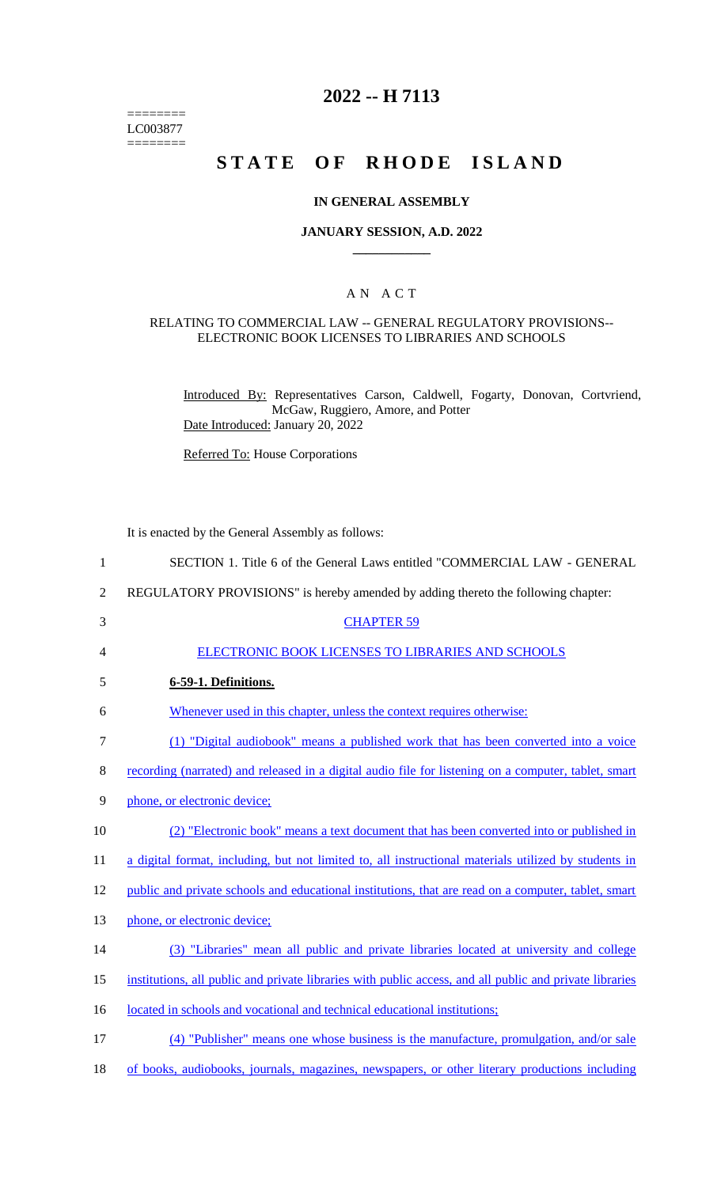======== LC003877  $=$ 

## **2022 -- H 7113**

# **STATE OF RHODE ISLAND**

#### **IN GENERAL ASSEMBLY**

#### **JANUARY SESSION, A.D. 2022 \_\_\_\_\_\_\_\_\_\_\_\_**

#### A N A C T

#### RELATING TO COMMERCIAL LAW -- GENERAL REGULATORY PROVISIONS-- ELECTRONIC BOOK LICENSES TO LIBRARIES AND SCHOOLS

Introduced By: Representatives Carson, Caldwell, Fogarty, Donovan, Cortvriend, McGaw, Ruggiero, Amore, and Potter Date Introduced: January 20, 2022

Referred To: House Corporations

It is enacted by the General Assembly as follows:

| 1              | SECTION 1. Title 6 of the General Laws entitled "COMMERCIAL LAW - GENERAL                               |
|----------------|---------------------------------------------------------------------------------------------------------|
| $\overline{2}$ | REGULATORY PROVISIONS" is hereby amended by adding thereto the following chapter:                       |
| 3              | <b>CHAPTER 59</b>                                                                                       |
| $\overline{4}$ | <b>ELECTRONIC BOOK LICENSES TO LIBRARIES AND SCHOOLS</b>                                                |
| 5              | 6-59-1. Definitions.                                                                                    |
| 6              | Whenever used in this chapter, unless the context requires otherwise:                                   |
| 7              | (1) "Digital audiobook" means a published work that has been converted into a voice                     |
| 8              | recording (narrated) and released in a digital audio file for listening on a computer, tablet, smart    |
| 9              | phone, or electronic device;                                                                            |
| 10             | (2) "Electronic book" means a text document that has been converted into or published in                |
| 11             | a digital format, including, but not limited to, all instructional materials utilized by students in    |
| 12             | public and private schools and educational institutions, that are read on a computer, tablet, smart     |
| 13             | phone, or electronic device;                                                                            |
| 14             | (3) "Libraries" mean all public and private libraries located at university and college                 |
| 15             | institutions, all public and private libraries with public access, and all public and private libraries |
| 16             | located in schools and vocational and technical educational institutions;                               |
| 17             | (4) "Publisher" means one whose business is the manufacture, promulgation, and/or sale                  |

18 of books, audiobooks, journals, magazines, newspapers, or other literary productions including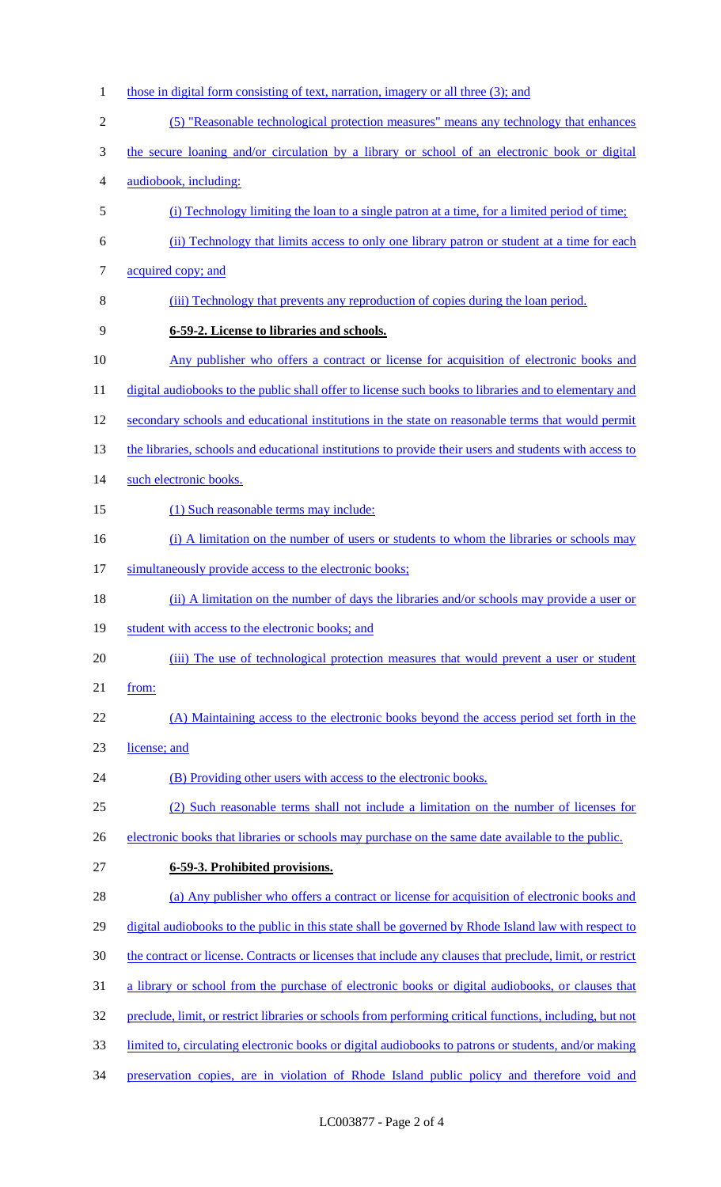1 those in digital form consisting of text, narration, imagery or all three (3); and (5) "Reasonable technological protection measures" means any technology that enhances the secure loaning and/or circulation by a library or school of an electronic book or digital audiobook, including: (i) Technology limiting the loan to a single patron at a time, for a limited period of time; (ii) Technology that limits access to only one library patron or student at a time for each acquired copy; and (iii) Technology that prevents any reproduction of copies during the loan period. **6-59-2. License to libraries and schools.**  Any publisher who offers a contract or license for acquisition of electronic books and 11 digital audiobooks to the public shall offer to license such books to libraries and to elementary and secondary schools and educational institutions in the state on reasonable terms that would permit 13 the libraries, schools and educational institutions to provide their users and students with access to 14 such electronic books. 15 (1) Such reasonable terms may include: 16 (i) A limitation on the number of users or students to whom the libraries or schools may simultaneously provide access to the electronic books; (ii) A limitation on the number of days the libraries and/or schools may provide a user or 19 student with access to the electronic books; and (iii) The use of technological protection measures that would prevent a user or student from: (A) Maintaining access to the electronic books beyond the access period set forth in the license; and 24 (B) Providing other users with access to the electronic books. (2) Such reasonable terms shall not include a limitation on the number of licenses for 26 electronic books that libraries or schools may purchase on the same date available to the public. **6-59-3. Prohibited provisions.**  (a) Any publisher who offers a contract or license for acquisition of electronic books and 29 digital audiobooks to the public in this state shall be governed by Rhode Island law with respect to the contract or license. Contracts or licenses that include any clauses that preclude, limit, or restrict a library or school from the purchase of electronic books or digital audiobooks, or clauses that preclude, limit, or restrict libraries or schools from performing critical functions, including, but not limited to, circulating electronic books or digital audiobooks to patrons or students, and/or making preservation copies, are in violation of Rhode Island public policy and therefore void and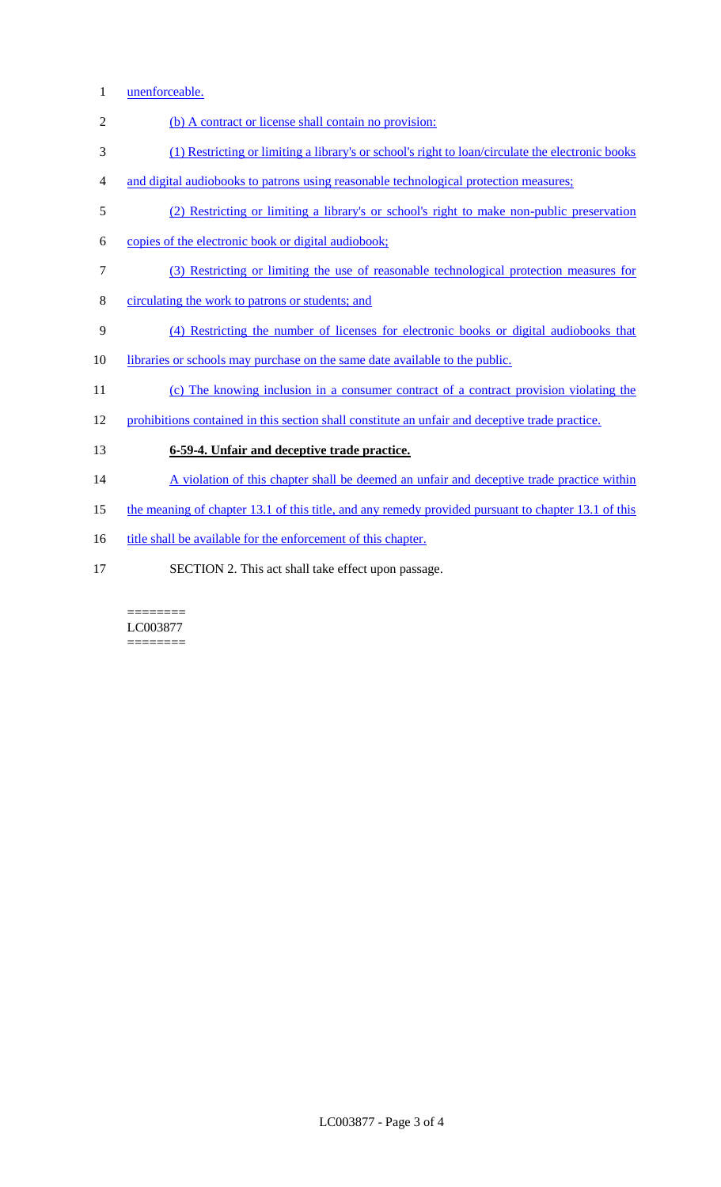- 1 unenforceable.
- 2 (b) A contract or license shall contain no provision:
- 3 (1) Restricting or limiting a library's or school's right to loan/circulate the electronic books
- 4 and digital audiobooks to patrons using reasonable technological protection measures;
- 5 (2) Restricting or limiting a library's or school's right to make non-public preservation
- 6 copies of the electronic book or digital audiobook;
- 7 (3) Restricting or limiting the use of reasonable technological protection measures for
- 8 circulating the work to patrons or students; and
- 9 (4) Restricting the number of licenses for electronic books or digital audiobooks that
- 10 libraries or schools may purchase on the same date available to the public.
- 11 (c) The knowing inclusion in a consumer contract of a contract provision violating the
- 12 prohibitions contained in this section shall constitute an unfair and deceptive trade practice.
- 13 **6-59-4. Unfair and deceptive trade practice.**
- 14 A violation of this chapter shall be deemed an unfair and deceptive trade practice within
- 15 the meaning of chapter 13.1 of this title, and any remedy provided pursuant to chapter 13.1 of this
- 16 title shall be available for the enforcement of this chapter.
- 17 SECTION 2. This act shall take effect upon passage.

#### ======== LC003877

========